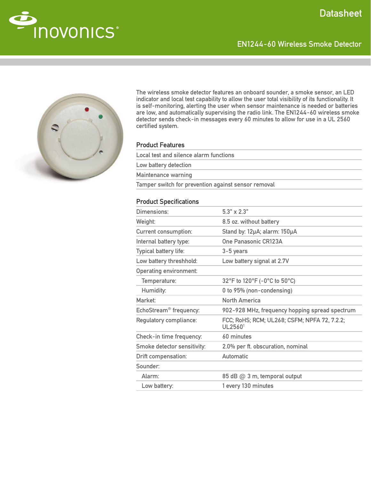EN1244-60 Wireless Smoke Detector





The wireless smoke detector features an onboard sounder, a smoke sensor, an LED indicator and local test capability to allow the user total visibility of its functionality. It is self-monitoring, alerting the user when sensor maintenance is needed or batteries are low, and automatically supervising the radio link. The EN1244-60 wireless smoke detector sends check-in messages every 60 minutes to allow for use in a UL 2560 certified system.

## Product Features

| Local test and silence alarm functions              |
|-----------------------------------------------------|
| Low battery detection                               |
| Maintenance warning                                 |
| Tamper switch for prevention against sensor removal |

## Product Specifications

| Dimensions:                        | $5.3" \times 2.3"$                                      |
|------------------------------------|---------------------------------------------------------|
| Weight:                            | 8.5 oz. without battery                                 |
| <b>Current consumption:</b>        | Stand by: 12µA; alarm: 150µA                            |
| Internal battery type:             | <b>One Panasonic CR123A</b>                             |
| <b>Typical battery life:</b>       | 3-5 years                                               |
| Low battery threshhold:            | Low battery signal at 2.7V                              |
| <b>Operating environment:</b>      |                                                         |
| Temperature:                       | 32°F to 120°F (-0°C to 50°C)                            |
| Humidity:                          | 0 to 95% (non-condensing)                               |
| Market:                            | <b>North America</b>                                    |
| EchoStream <sup>®</sup> frequency: | 902-928 MHz, frequency hopping spread spectrum          |
| Regulatory compliance:             | FCC; RoHS; RCM; UL268; CSFM; NPFA 72, 7.2.2;<br>UL25601 |
| Check-in time frequency:           | 60 minutes                                              |
| Smoke detector sensitivity:        | 2.0% per ft. obscuration, nominal                       |
| <b>Drift compensation:</b>         | Automatic                                               |
| Sounder:                           |                                                         |
| Alarm:                             | 85 dB @ 3 m, temporal output                            |
| Low battery:                       | 1 every 130 minutes                                     |
|                                    |                                                         |